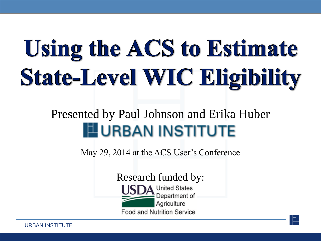# **Using the ACS to Estimate State-Level WIC Eligibility**

#### Presented by Paul Johnson and Erika Huber **EURBAN INSTITUTE**

May 29, 2014 at the ACS User's Conference

Research funded by:**United States** Department of Agriculture **Food and Nutrition Service**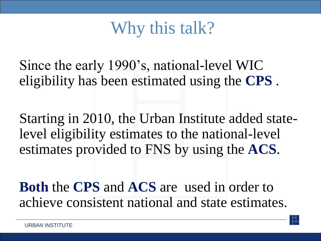## Why this talk?

Since the early 1990's, national-level WIC eligibility has been estimated using the **CPS** .

Starting in 2010, the Urban Institute added statelevel eligibility estimates to the national-level estimates provided to FNS by using the **ACS**.

**Both** the **CPS** and **ACS** are used in order to achieve consistent national and state estimates.

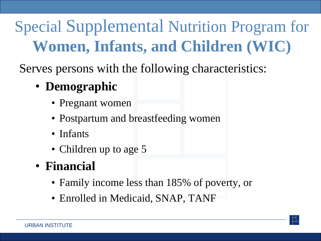## Special Supplemental Nutrition Program for **Women, Infants, and Children (WIC)**

Serves persons with the following characteristics:

#### • **Demographic**

- Pregnant women
- Postpartum and breastfeeding women
- Infants
- Children up to age 5
- **Financial**
	- Family income less than 185% of poverty, or
	- Enrolled in Medicaid, SNAP, TANF

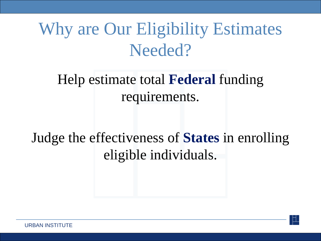## Why are Our Eligibility Estimates Needed?

#### Help estimate total **Federal** funding requirements.

#### Judge the effectiveness of **States** in enrolling eligible individuals.



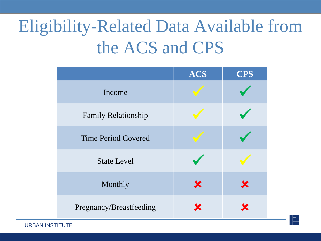## Eligibility-Related Data Available from the ACS and CPS

|                            | ACS      | <b>CPS</b> |
|----------------------------|----------|------------|
| Income                     |          |            |
| Family Relationship        |          |            |
| <b>Time Period Covered</b> |          |            |
| <b>State Level</b>         |          |            |
| Monthly                    | $\bm{x}$ | X          |
| Pregnancy/Breastfeeding    |          |            |



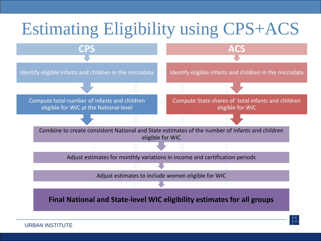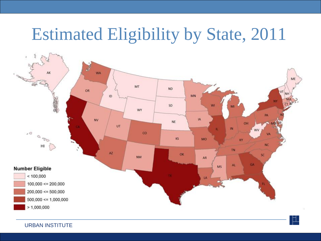## Estimated Eligibility by State, 2011

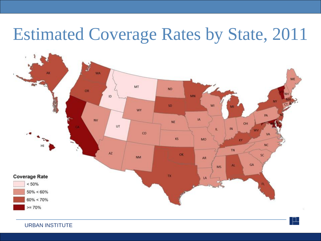## Estimated Coverage Rates by State, 2011

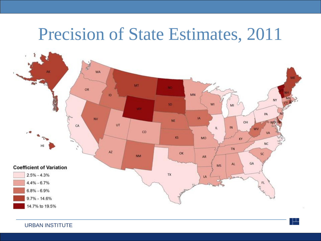#### Precision of State Estimates, 2011

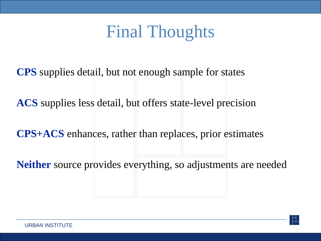## Final Thoughts

**CPS** supplies detail, but not enough sample for states

**ACS** supplies less detail, but offers state-level precision

**CPS+ACS** enhances, rather than replaces, prior estimates

**Neither** source provides everything, so adjustments are needed